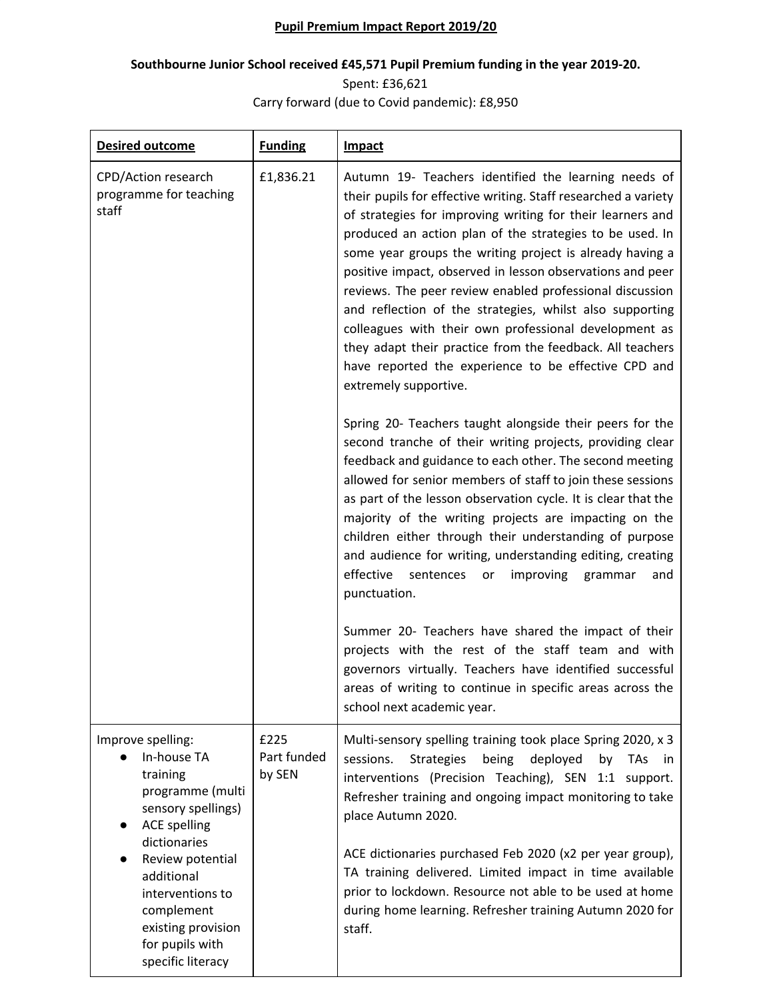## **Pupil Premium Impact Report 2019/20**

## **Southbourne Junior School received £45,571 Pupil Premium funding in the year 2019-20.**

Spent: £36,621 Carry forward (due to Covid pandemic): £8,950

| <b>Desired outcome</b>                                                                                                                                                              | <b>Funding</b>                | <b>Impact</b>                                                                                                                                                                                                                                                                                                                                                                                                                                                                                                                                                                                                                                                                                            |
|-------------------------------------------------------------------------------------------------------------------------------------------------------------------------------------|-------------------------------|----------------------------------------------------------------------------------------------------------------------------------------------------------------------------------------------------------------------------------------------------------------------------------------------------------------------------------------------------------------------------------------------------------------------------------------------------------------------------------------------------------------------------------------------------------------------------------------------------------------------------------------------------------------------------------------------------------|
| CPD/Action research<br>programme for teaching<br>staff                                                                                                                              | £1,836.21                     | Autumn 19- Teachers identified the learning needs of<br>their pupils for effective writing. Staff researched a variety<br>of strategies for improving writing for their learners and<br>produced an action plan of the strategies to be used. In<br>some year groups the writing project is already having a<br>positive impact, observed in lesson observations and peer<br>reviews. The peer review enabled professional discussion<br>and reflection of the strategies, whilst also supporting<br>colleagues with their own professional development as<br>they adapt their practice from the feedback. All teachers<br>have reported the experience to be effective CPD and<br>extremely supportive. |
|                                                                                                                                                                                     |                               | Spring 20- Teachers taught alongside their peers for the<br>second tranche of their writing projects, providing clear<br>feedback and guidance to each other. The second meeting<br>allowed for senior members of staff to join these sessions<br>as part of the lesson observation cycle. It is clear that the<br>majority of the writing projects are impacting on the<br>children either through their understanding of purpose<br>and audience for writing, understanding editing, creating<br>effective<br>sentences<br>improving<br>grammar<br>or<br>and<br>punctuation.                                                                                                                           |
|                                                                                                                                                                                     |                               | Summer 20- Teachers have shared the impact of their<br>projects with the rest of the staff team and with<br>governors virtually. Teachers have identified successful<br>areas of writing to continue in specific areas across the<br>school next academic year.                                                                                                                                                                                                                                                                                                                                                                                                                                          |
| Improve spelling:<br>In-house TA<br>training<br>programme (multi<br>sensory spellings)<br><b>ACE spelling</b><br>dictionaries<br>Review potential<br>additional<br>interventions to | £225<br>Part funded<br>by SEN | Multi-sensory spelling training took place Spring 2020, x 3<br><b>Strategies</b><br>sessions.<br>being<br>deployed<br>by<br><b>TAs</b><br>in.<br>interventions (Precision Teaching), SEN 1:1 support.<br>Refresher training and ongoing impact monitoring to take<br>place Autumn 2020.<br>ACE dictionaries purchased Feb 2020 (x2 per year group),<br>TA training delivered. Limited impact in time available<br>prior to lockdown. Resource not able to be used at home                                                                                                                                                                                                                                |
| complement<br>existing provision<br>for pupils with<br>specific literacy                                                                                                            |                               | during home learning. Refresher training Autumn 2020 for<br>staff.                                                                                                                                                                                                                                                                                                                                                                                                                                                                                                                                                                                                                                       |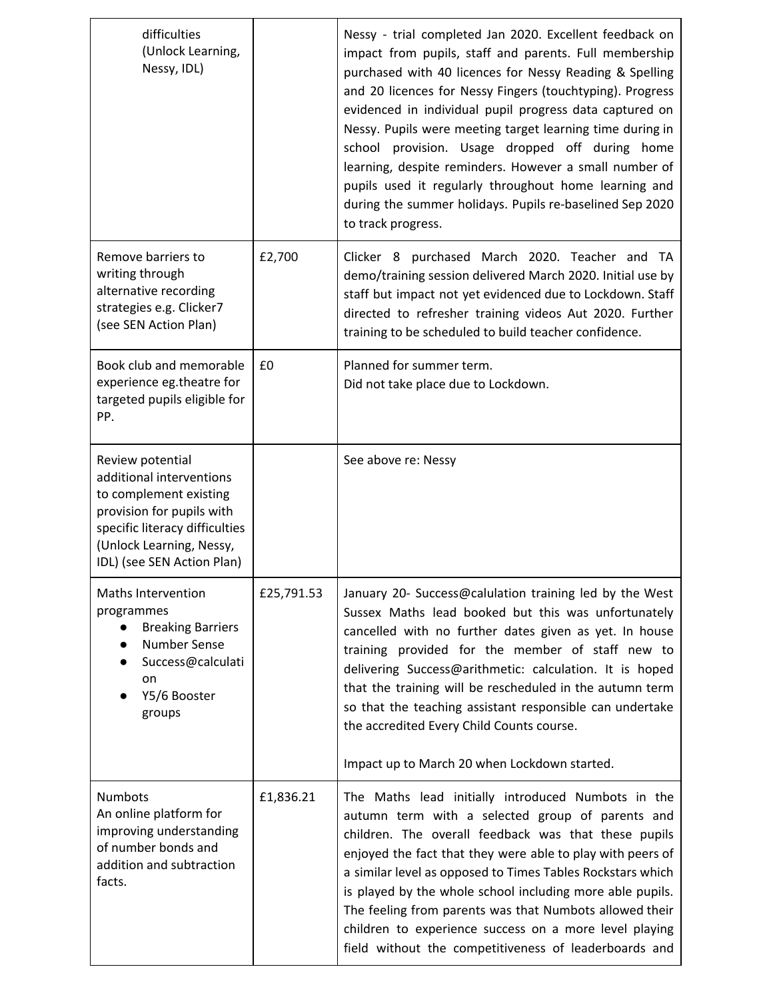| difficulties<br>(Unlock Learning,<br>Nessy, IDL)                                                                                                                                                |            | Nessy - trial completed Jan 2020. Excellent feedback on<br>impact from pupils, staff and parents. Full membership<br>purchased with 40 licences for Nessy Reading & Spelling<br>and 20 licences for Nessy Fingers (touchtyping). Progress<br>evidenced in individual pupil progress data captured on<br>Nessy. Pupils were meeting target learning time during in<br>school provision. Usage dropped off during home<br>learning, despite reminders. However a small number of<br>pupils used it regularly throughout home learning and<br>during the summer holidays. Pupils re-baselined Sep 2020<br>to track progress. |
|-------------------------------------------------------------------------------------------------------------------------------------------------------------------------------------------------|------------|---------------------------------------------------------------------------------------------------------------------------------------------------------------------------------------------------------------------------------------------------------------------------------------------------------------------------------------------------------------------------------------------------------------------------------------------------------------------------------------------------------------------------------------------------------------------------------------------------------------------------|
| Remove barriers to<br>writing through<br>alternative recording<br>strategies e.g. Clicker7<br>(see SEN Action Plan)                                                                             | £2,700     | Clicker 8 purchased March 2020. Teacher and TA<br>demo/training session delivered March 2020. Initial use by<br>staff but impact not yet evidenced due to Lockdown. Staff<br>directed to refresher training videos Aut 2020. Further<br>training to be scheduled to build teacher confidence.                                                                                                                                                                                                                                                                                                                             |
| Book club and memorable<br>experience eg.theatre for<br>targeted pupils eligible for<br>PP.                                                                                                     | £0         | Planned for summer term.<br>Did not take place due to Lockdown.                                                                                                                                                                                                                                                                                                                                                                                                                                                                                                                                                           |
| Review potential<br>additional interventions<br>to complement existing<br>provision for pupils with<br>specific literacy difficulties<br>(Unlock Learning, Nessy,<br>IDL) (see SEN Action Plan) |            | See above re: Nessy                                                                                                                                                                                                                                                                                                                                                                                                                                                                                                                                                                                                       |
| Maths Intervention<br>programmes<br><b>Breaking Barriers</b><br>Number Sense<br>Success@calculati<br>on<br>Y5/6 Booster<br>groups                                                               | £25,791.53 | January 20- Success@calulation training led by the West<br>Sussex Maths lead booked but this was unfortunately<br>cancelled with no further dates given as yet. In house<br>training provided for the member of staff new to<br>delivering Success@arithmetic: calculation. It is hoped<br>that the training will be rescheduled in the autumn term<br>so that the teaching assistant responsible can undertake<br>the accredited Every Child Counts course.<br>Impact up to March 20 when Lockdown started.                                                                                                              |
| Numbots<br>An online platform for<br>improving understanding<br>of number bonds and<br>addition and subtraction<br>facts.                                                                       | £1,836.21  | The Maths lead initially introduced Numbots in the<br>autumn term with a selected group of parents and<br>children. The overall feedback was that these pupils<br>enjoyed the fact that they were able to play with peers of<br>a similar level as opposed to Times Tables Rockstars which<br>is played by the whole school including more able pupils.<br>The feeling from parents was that Numbots allowed their<br>children to experience success on a more level playing<br>field without the competitiveness of leaderboards and                                                                                     |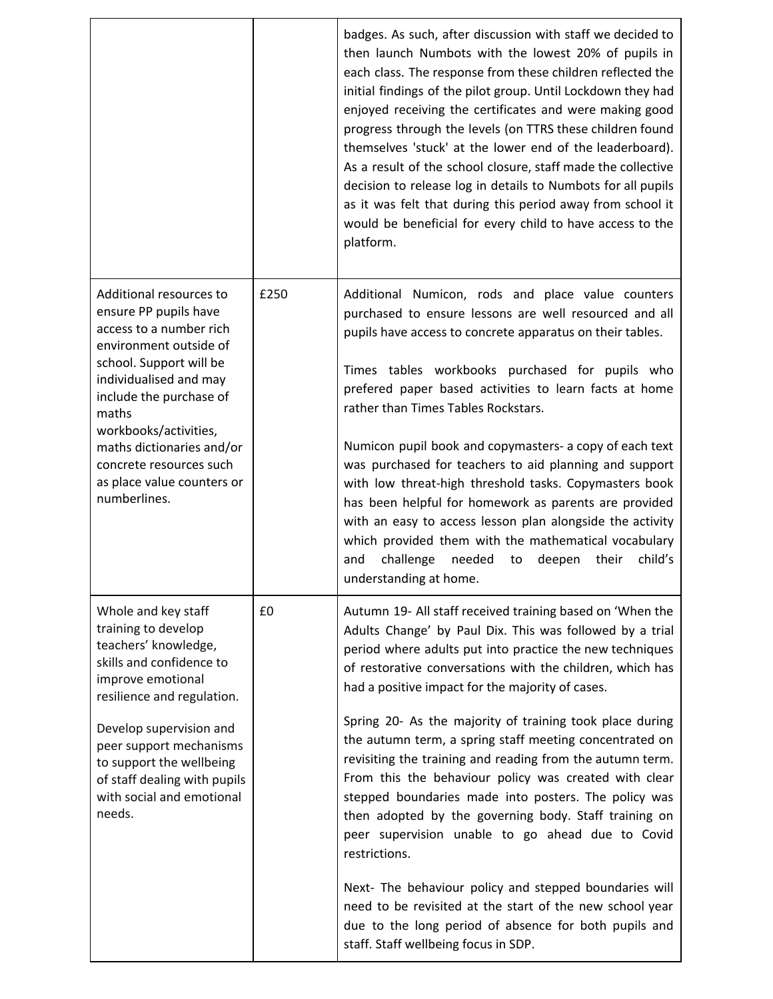|                                                                                                                                                                                                                                                                                                                               |      | badges. As such, after discussion with staff we decided to<br>then launch Numbots with the lowest 20% of pupils in<br>each class. The response from these children reflected the<br>initial findings of the pilot group. Until Lockdown they had<br>enjoyed receiving the certificates and were making good<br>progress through the levels (on TTRS these children found<br>themselves 'stuck' at the lower end of the leaderboard).<br>As a result of the school closure, staff made the collective<br>decision to release log in details to Numbots for all pupils<br>as it was felt that during this period away from school it<br>would be beneficial for every child to have access to the<br>platform.                                                                                                                                                                                                                                                 |
|-------------------------------------------------------------------------------------------------------------------------------------------------------------------------------------------------------------------------------------------------------------------------------------------------------------------------------|------|--------------------------------------------------------------------------------------------------------------------------------------------------------------------------------------------------------------------------------------------------------------------------------------------------------------------------------------------------------------------------------------------------------------------------------------------------------------------------------------------------------------------------------------------------------------------------------------------------------------------------------------------------------------------------------------------------------------------------------------------------------------------------------------------------------------------------------------------------------------------------------------------------------------------------------------------------------------|
| Additional resources to<br>ensure PP pupils have<br>access to a number rich<br>environment outside of<br>school. Support will be<br>individualised and may<br>include the purchase of<br>maths<br>workbooks/activities,<br>maths dictionaries and/or<br>concrete resources such<br>as place value counters or<br>numberlines. | £250 | Additional Numicon, rods and place value counters<br>purchased to ensure lessons are well resourced and all<br>pupils have access to concrete apparatus on their tables.<br>Times tables workbooks purchased for pupils who<br>prefered paper based activities to learn facts at home<br>rather than Times Tables Rockstars.<br>Numicon pupil book and copymasters- a copy of each text<br>was purchased for teachers to aid planning and support<br>with low threat-high threshold tasks. Copymasters book<br>has been helpful for homework as parents are provided<br>with an easy to access lesson plan alongside the activity<br>which provided them with the mathematical vocabulary<br>challenge<br>needed<br>deepen<br>child's<br>and<br>to<br>their<br>understanding at home.                                                                                                                                                                        |
| Whole and key staff<br>training to develop<br>teachers' knowledge,<br>skills and confidence to<br>improve emotional<br>resilience and regulation.<br>Develop supervision and<br>peer support mechanisms<br>to support the wellbeing<br>of staff dealing with pupils<br>with social and emotional<br>needs.                    | £0   | Autumn 19- All staff received training based on 'When the<br>Adults Change' by Paul Dix. This was followed by a trial<br>period where adults put into practice the new techniques<br>of restorative conversations with the children, which has<br>had a positive impact for the majority of cases.<br>Spring 20- As the majority of training took place during<br>the autumn term, a spring staff meeting concentrated on<br>revisiting the training and reading from the autumn term.<br>From this the behaviour policy was created with clear<br>stepped boundaries made into posters. The policy was<br>then adopted by the governing body. Staff training on<br>peer supervision unable to go ahead due to Covid<br>restrictions.<br>Next- The behaviour policy and stepped boundaries will<br>need to be revisited at the start of the new school year<br>due to the long period of absence for both pupils and<br>staff. Staff wellbeing focus in SDP. |